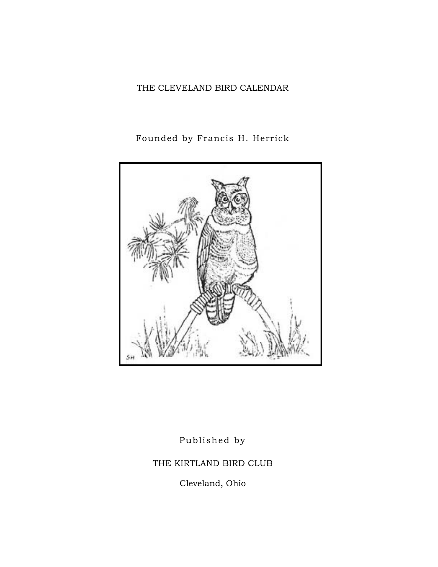## THE CLEVELAND BIRD CALENDAR

# Founded by Francis H. Herrick



Published by

THE KIRTLAND BIRD CLUB

Cleveland, Ohio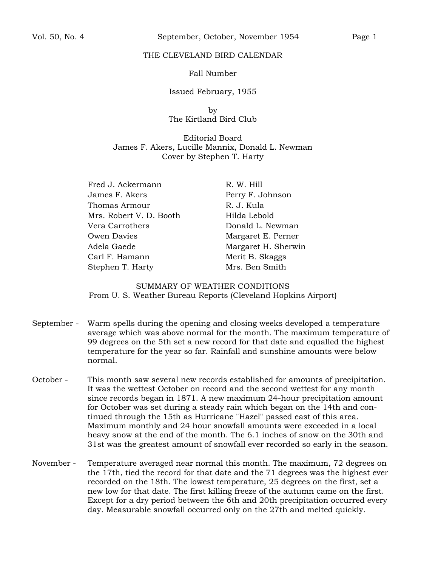#### THE CLEVELAND BIRD CALENDAR

#### Fall Number

#### Issued February, 1955

by The Kirtland Bird Club

Editorial Board James F. Akers, Lucille Mannix, Donald L. Newman Cover by Stephen T. Harty

Fred J. Ackermann James F. Akers Thomas Armour Mrs. Robert V. D. Booth Vera Carrothers Owen Davies Adela Gaede Carl F. Hamann Stephen T. Harty

R. W. Hill Perry F. Johnson R. J. Kula Hilda Lebold Donald L. Newman Margaret E. Perner Margaret H. Sherwin Merit B. Skaggs Mrs. Ben Smith

SUMMARY OF WEATHER CONDITIONS From U. S. Weather Bureau Reports (Cleveland Hopkins Airport)

- September Warm spells during the opening and closing weeks developed a temperature average which was above normal for the month. The maximum temperature of 99 degrees on the 5th set a new record for that date and equalled the highest temperature for the year so far. Rainfall and sunshine amounts were below normal.
- October This month saw several new records established for amounts of precipitation. It was the wettest October on record and the second wettest for any month since records began in 1871. A new maximum 24-hour precipitation amount for October was set during a steady rain which began on the 14th and continued through the 15th as Hurricane "Hazel" passed east of this area. Maximum monthly and 24 hour snowfall amounts were exceeded in a local heavy snow at the end of the month. The 6.1 inches of snow on the 30th and 31st was the greatest amount of snowfall ever recorded so early in the season.
- November Temperature averaged near normal this month. The maximum, 72 degrees on the 17th, tied the record for that date and the 71 degrees was the highest ever recorded on the 18th. The lowest temperature, 25 degrees on the first, set a new low for that date. The first killing freeze of the autumn came on the first. Except for a dry period between the 6th and 20th precipitation occurred every day. Measurable snowfall occurred only on the 27th and melted quickly.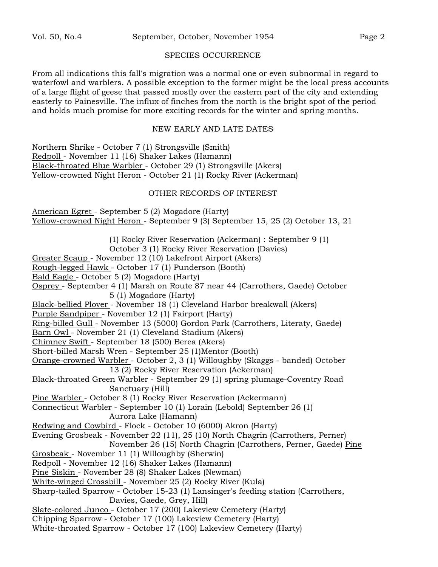#### SPECIES OCCURRENCE

From all indications this fall's migration was a normal one or even subnormal in regard to waterfowl and warblers. A possible exception to the former might be the local press accounts of a large flight of geese that passed mostly over the eastern part of the city and extending easterly to Painesville. The influx of finches from the north is the bright spot of the period and holds much promise for more exciting records for the winter and spring months.

#### NEW EARLY AND LATE DATES

Northern Shrike - October 7 (1) Strongsville (Smith) Redpoll - November 11 (16) Shaker Lakes (Hamann) Black-throated Blue Warbler - October 29 (1) Strongsville (Akers) Yellow-crowned Night Heron - October 21 (1) Rocky River (Ackerman)

### OTHER RECORDS OF INTEREST

American Egret - September 5 (2) Mogadore (Harty) Yellow-crowned Night Heron - September 9 (3) September 15, 25 (2) October 13, 21

(1) Rocky River Reservation (Ackerman) : September 9 (1)

October 3 (1) Rocky River Reservation (Davies)

Greater Scaup - November 12 (10) Lakefront Airport (Akers)

Rough-legged Hawk - October 17 (1) Punderson (Booth)

Bald Eagle - October 5 (2) Mogadore (Harty)

Osprey - September 4 (1) Marsh on Route 87 near 44 (Carrothers, Gaede) October 5 (1) Mogadore (Harty)

Black-bellied Plover - November 18 (1) Cleveland Harbor breakwall (Akers)

Purple Sandpiper - November 12 (1) Fairport (Harty)

Ring-billed Gull - November 13 (5000) Gordon Park (Carrothers, Literaty, Gaede)

Barn Owl - November 21 (1) Cleveland Stadium (Akers)

Chimney Swift - September 18 (500) Berea (Akers)

Short-billed Marsh Wren - September 25 (1)Mentor (Booth)

Orange-crowned Warbler - October 2, 3 (1) Willoughby (Skaggs - banded) October 13 (2) Rocky River Reservation (Ackerman)

Black-throated Green Warbler - September 29 (1) spring plumage-Coventry Road Sanctuary (Hill)

Pine Warbler - October 8 (1) Rocky River Reservation (Ackermann)

Connecticut Warbler - September 10 (1) Lorain (Lebold) September 26 (1) Aurora Lake (Hamann)

Redwing and Cowbird - Flock - October 10 (6000) Akron (Harty)

Evening Grosbeak - November 22 (11), 25 (10) North Chagrin (Carrothers, Perner)

November 26 (15) North Chagrin (Carrothers, Perner, Gaede) Pine

Grosbeak - November 11 (1) Willoughby (Sherwin)

Redpoll - November 12 (16) Shaker Lakes (Hamann)

Pine Siskin - November 28 (8) Shaker Lakes (Newman)

White-winged Crossbill - November 25 (2) Rocky River (Kula)

Sharp-tailed Sparrow - October 15-23 (1) Lansinger's feeding station (Carrothers, Davies, Gaede, Grey, Hill)

Slate-colored Junco - October 17 (200) Lakeview Cemetery (Harty)

Chipping Sparrow - October 17 (100) Lakeview Cemetery (Harty)

White-throated Sparrow - October 17 (100) Lakeview Cemetery (Harty)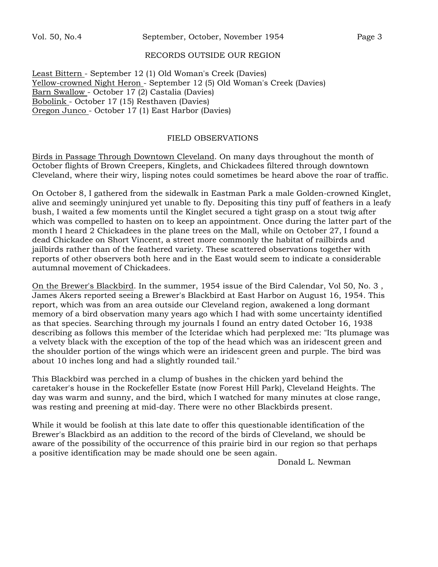#### RECORDS OUTSIDE OUR REGION

Least Bittern - September 12 (1) Old Woman's Creek (Davies) Yellow-crowned Night Heron - September 12 (5) Old Woman's Creek (Davies) Barn Swallow - October 17 (2) Castalia (Davies) Bobolink - October 17 (15) Resthaven (Davies) Oregon Junco - October 17 (1) East Harbor (Davies)

### FIELD OBSERVATIONS

Birds in Passage Through Downtown Cleveland. On many days throughout the month of October flights of Brown Creepers, Kinglets, and Chickadees filtered through downtown Cleveland, where their wiry, lisping notes could sometimes be heard above the roar of traffic.

On October 8, I gathered from the sidewalk in Eastman Park a male Golden-crowned Kinglet, alive and seemingly uninjured yet unable to fly. Depositing this tiny puff of feathers in a leafy bush, I waited a few moments until the Kinglet secured a tight grasp on a stout twig after which was compelled to hasten on to keep an appointment. Once during the latter part of the month I heard 2 Chickadees in the plane trees on the Mall, while on October 27, I found a dead Chickadee on Short Vincent, a street more commonly the habitat of railbirds and jailbirds rather than of the feathered variety. These scattered observations together with reports of other observers both here and in the East would seem to indicate a considerable autumnal movement of Chickadees.

On the Brewer's Blackbird. In the summer, 1954 issue of the Bird Calendar, Vol 50, No. 3 , James Akers reported seeing a Brewer's Blackbird at East Harbor on August 16, 1954. This report, which was from an area outside our Cleveland region, awakened a long dormant memory of a bird observation many years ago which I had with some uncertainty identified as that species. Searching through my journals I found an entry dated October 16, 1938 describing as follows this member of the Icteridae which had perplexed me: "Its plumage was a velvety black with the exception of the top of the head which was an iridescent green and the shoulder portion of the wings which were an iridescent green and purple. The bird was about 10 inches long and had a slightly rounded tail."

This Blackbird was perched in a clump of bushes in the chicken yard behind the caretaker's house in the Rockefeller Estate (now Forest Hill Park), Cleveland Heights. The day was warm and sunny, and the bird, which I watched for many minutes at close range, was resting and preening at mid-day. There were no other Blackbirds present.

While it would be foolish at this late date to offer this questionable identification of the Brewer's Blackbird as an addition to the record of the birds of Cleveland, we should be aware of the possibility of the occurrence of this prairie bird in our region so that perhaps a positive identification may be made should one be seen again.

Donald L. Newman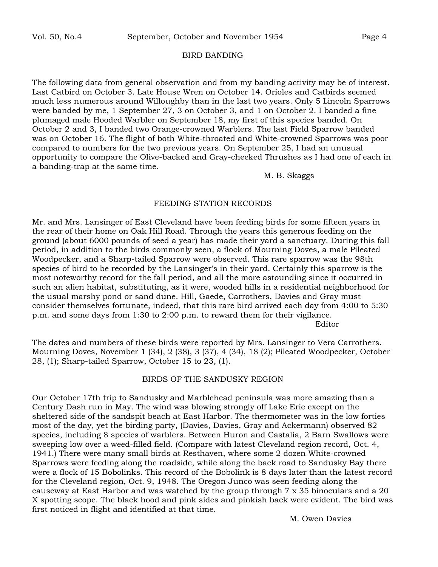#### BIRD BANDING

The following data from general observation and from my banding activity may be of interest. Last Catbird on October 3. Late House Wren on October 14. Orioles and Catbirds seemed much less numerous around Willoughby than in the last two years. Only 5 Lincoln Sparrows were banded by me, 1 September 27, 3 on October 3, and 1 on October 2. I banded a fine plumaged male Hooded Warbler on September 18, my first of this species banded. On October 2 and 3, I banded two Orange-crowned Warblers. The last Field Sparrow banded was on October 16. The flight of both White-throated and White-crowned Sparrows was poor compared to numbers for the two previous years. On September 25, I had an unusual opportunity to compare the Olive-backed and Gray-cheeked Thrushes as I had one of each in a banding-trap at the same time.

M. B. Skaggs

#### FEEDING STATION RECORDS

Mr. and Mrs. Lansinger of East Cleveland have been feeding birds for some fifteen years in the rear of their home on Oak Hill Road. Through the years this generous feeding on the ground (about 6000 pounds of seed a year) has made their yard a sanctuary. During this fall period, in addition to the birds commonly seen, a flock of Mourning Doves, a male Pileated Woodpecker, and a Sharp-tailed Sparrow were observed. This rare sparrow was the 98th species of bird to be recorded by the Lansinger's in their yard. Certainly this sparrow is the most noteworthy record for the fall period, and all the more astounding since it occurred in such an alien habitat, substituting, as it were, wooded hills in a residential neighborhood for the usual marshy pond or sand dune. Hill, Gaede, Carrothers, Davies and Gray must consider themselves fortunate, indeed, that this rare bird arrived each day from 4:00 to 5:30 p.m. and some days from 1:30 to 2:00 p.m. to reward them for their vigilance.

Editor

The dates and numbers of these birds were reported by Mrs. Lansinger to Vera Carrothers. Mourning Doves, November 1 (34), 2 (38), 3 (37), 4 (34), 18 (2); Pileated Woodpecker, October 28, (1); Sharp-tailed Sparrow, October 15 to 23, (1).

#### BIRDS OF THE SANDUSKY REGION

Our October 17th trip to Sandusky and Marblehead peninsula was more amazing than a Century Dash run in May. The wind was blowing strongly off Lake Erie except on the sheltered side of the sandspit beach at East Harbor. The thermometer was in the low forties most of the day, yet the birding party, (Davies, Davies, Gray and Ackermann) observed 82 species, including 8 species of warblers. Between Huron and Castalia, 2 Barn Swallows were sweeping low over a weed-filled field. (Compare with latest Cleveland region record, Oct. 4, 1941.) There were many small birds at Resthaven, where some 2 dozen White-crowned Sparrows were feeding along the roadside, while along the back road to Sandusky Bay there were a flock of 15 Bobolinks. This record of the Bobolink is 8 days later than the latest record for the Cleveland region, Oct. 9, 1948. The Oregon Junco was seen feeding along the causeway at East Harbor and was watched by the group through 7 x 35 binoculars and a 20 X spotting scope. The black hood and pink sides and pinkish back were evident. The bird was first noticed in flight and identified at that time.

M. Owen Davies